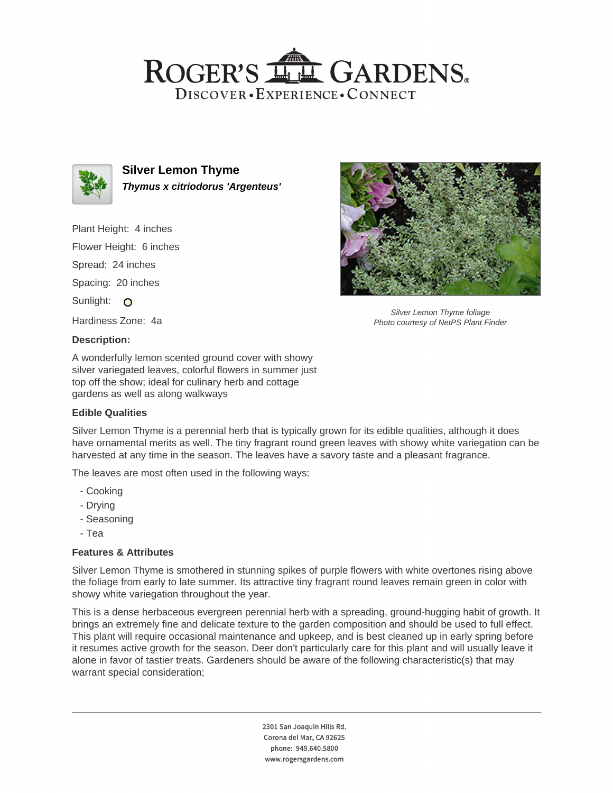# ROGER'S LL GARDENS. DISCOVER · EXPERIENCE · CONNECT



**Silver Lemon Thyme Thymus x citriodorus 'Argenteus'**

Plant Height: 4 inches Flower Height: 6 inches Spread: 24 inches Spacing: 20 inches Sunlight: O Hardiness Zone: 4a

#### **Description:**

A wonderfully lemon scented ground cover with showy silver variegated leaves, colorful flowers in summer just top off the show; ideal for culinary herb and cottage gardens as well as along walkways

### **Edible Qualities**



Silver Lemon Thyme foliage Photo courtesy of NetPS Plant Finder

Silver Lemon Thyme is a perennial herb that is typically grown for its edible qualities, although it does have ornamental merits as well. The tiny fragrant round green leaves with showy white variegation can be harvested at any time in the season. The leaves have a savory taste and a pleasant fragrance.

The leaves are most often used in the following ways:

- Cooking
- Drying
- Seasoning
- Tea

### **Features & Attributes**

Silver Lemon Thyme is smothered in stunning spikes of purple flowers with white overtones rising above the foliage from early to late summer. Its attractive tiny fragrant round leaves remain green in color with showy white variegation throughout the year.

This is a dense herbaceous evergreen perennial herb with a spreading, ground-hugging habit of growth. It brings an extremely fine and delicate texture to the garden composition and should be used to full effect. This plant will require occasional maintenance and upkeep, and is best cleaned up in early spring before it resumes active growth for the season. Deer don't particularly care for this plant and will usually leave it alone in favor of tastier treats. Gardeners should be aware of the following characteristic(s) that may warrant special consideration;

> 2301 San Joaquin Hills Rd. Corona del Mar, CA 92625 phone: 949.640.5800 www.rogersgardens.com